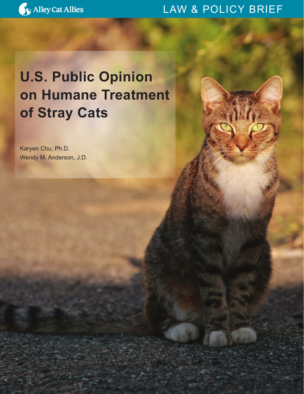

### LAW & POLICY BRIEF

## **U.S. Public Opinion on Humane Treatment of Stray Cats**

Karyen Chu, Ph.D. Wendy M. Anderson, J.D.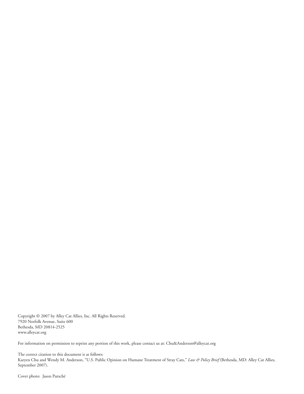Copyright © 2007 by Alley Cat Allies, Inc. All Rights Reserved. 7920 Norfolk Avenue, Suite 600 Bethesda, MD 20814-2525 www.alleycat.org

For information on permission to reprint any portion of this work, please contact us at: Chu&Anderson@alleycat.org

The correct citation to this document is as follows: Karyen Chu and Wendy M. Anderson, "U.S. Public Opinion on Humane Treatment of Stray Cats," *Law & Policy Brief* (Bethesda, MD: Alley Cat Allies, September 2007).

Cover photo: Jason Putsché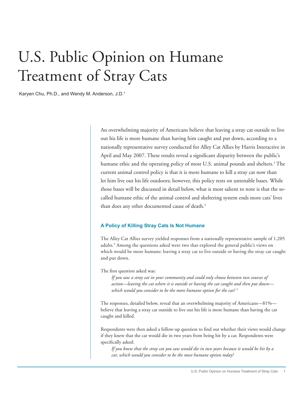# U.S. Public Opinion on Humane Treatment of Stray Cats

Karyen Chu, Ph.D., and Wendy M. Anderson, J.D.1

An overwhelming majority of Americans believe that leaving a stray cat outside to live out his life is more humane than having him caught and put down, according to a nationally representative survey conducted for Alley Cat Allies by Harris Interactive in April and May 2007. These results reveal a significant disparity between the public's humane ethic and the operating policy of most U.S. animal pounds and shelters.<sup>2</sup> The current animal control policy is that it is more humane to kill a stray cat now than let him live out his life outdoors; however, this policy rests on untenable bases. While those bases will be discussed in detail below, what is most salient to note is that the socalled humane ethic of the animal control and sheltering system ends more cats' lives than does any other documented cause of death.<sup>3</sup>

#### **A Policy of Killing Stray Cats Is Not Humane**

The Alley Cat Allies survey yielded responses from a nationally representative sample of 1,205 adults.<sup>4</sup> Among the questions asked were two that explored the general public's views on which would be more humane: leaving a stray cat to live outside or having the stray cat caught and put down.

The first question asked was:

*If you saw a stray cat in your community and could only choose between two courses of action—leaving the cat where it is outside or having the cat caught and then put down which would you consider to be the more humane option for the cat? 5*

The responses, detailed below, reveal that an overwhelming majority of Americans—81% believe that leaving a stray cat outside to live out his life is more humane than having the cat caught and killed.

Respondents were then asked a follow-up question to find out whether their views would change if they knew that the cat would die in two years from being hit by a car. Respondents were specifically asked:

*If you knew that the stray cat you saw would die in two years because it would be hit by a car, which would you consider to be the most humane option today?*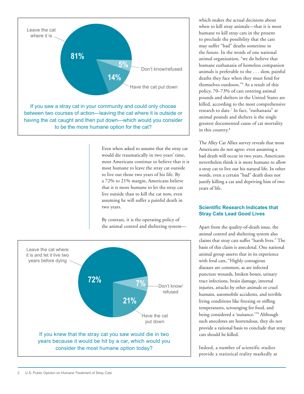

Even when asked to assume that the stray cat would die traumatically in two years' time, most Americans continue to believe that it is most humane to leave the stray cat outside to live out those two years of his life. By a 72% to 21% margin, Americans believe that it is more humane to let the stray cat live outside than to kill the cat now, even assuming he will suffer a painful death in two years.

By contrast, it is the operating policy of the animal control and sheltering system—



which makes the actual decisions about when to kill stray animals—that it is most humane to kill stray cats in the present to preclude the possibility that the cats may suffer "bad" deaths sometime in the future. In the words of one national animal organization, "we do believe that humane euthanasia of homeless companion animals is preferable to the . . . slow, painful deaths they face when they must fend for themselves outdoors."6 As a result of this policy, 70–73% of cats entering animal pounds and shelters in the United States are killed, according to the most comprehensive research to date.7 In fact, "euthanasia" at animal pounds and shelters is the single greatest documented cause of cat mortality in this country.<sup>8</sup>

The Alley Cat Allies survey reveals that most Americans do not agree: even assuming a bad death will occur in two years, Americans nevertheless think it is more humane to allow a stray cat to live out his natural life. In other words, even a certain "bad" death does not justify killing a cat and depriving him of two years of life.

#### **Scientific Research Indicates that Stray Cats Lead Good Lives**

Apart from the quality-of-death issue, the animal control and sheltering system also claims that stray cats suffer "harsh lives." The basis of this claim is anecdotal. One national animal group asserts that in its experience with feral cats, "Highly contagious diseases are common, as are infected puncture wounds, broken bones, urinary tract infections, brain damage, internal injuries, attacks by other animals or cruel humans, automobile accidents, and terrible living conditions like freezing or stifling temperatures, scrounging for food, and being considered a 'nuisance.'"9 Although such anecdotes are horrendous, they do not provide a rational basis to conclude that stray cats should be killed.

Indeed, a number of scientific studies provide a statistical reality markedly at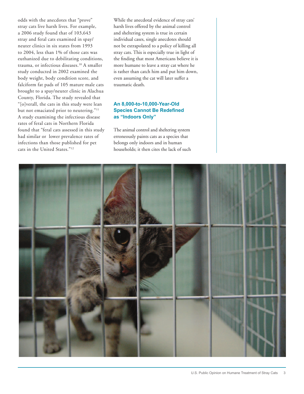odds with the anecdotes that "prove" stray cats live harsh lives. For example, a 2006 study found that of 103,643 stray and feral cats examined in spay/ neuter clinics in six states from 1993 to 2004, less than 1% of those cats was euthanized due to debilitating conditions, trauma, or infectious diseases.10 A smaller study conducted in 2002 examined the body weight, body condition score, and falciform fat pads of 105 mature male cats brought to a spay/neuter clinic in Alachua County, Florida. The study revealed that "[o]verall, the cats in this study were lean but not emaciated prior to neutering."<sup>11</sup> A study examining the infectious disease rates of feral cats in Northern Florida found that "feral cats assessed in this study had similar or lower prevalence rates of infections than those published for pet cats in the United States."12

While the anecdotal evidence of stray cats' harsh lives offered by the animal control and sheltering system is true in certain individual cases, single anecdotes should not be extrapolated to a policy of killing all stray cats. This is especially true in light of the finding that most Americans believe it is more humane to leave a stray cat where he is rather than catch him and put him down, even assuming the cat will later suffer a traumatic death.

#### **An 8,000-to-10,000-Year-Old Species Cannot Be Redefined as "Indoors Only"**

The animal control and sheltering system erroneously paints cats as a species that belongs only indoors and in human households; it then cites the lack of such

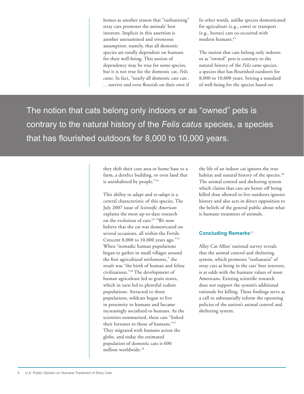homes as another reason that "euthanizing" stray cats promotes the animals' best interests. Implicit in this assertion is another unexamined and erroneous assumption: namely, that all domestic species are totally dependent on humans for their well-being. This notion of dependency may be true for some species, but it is not true for the domestic cat, *Felis catus*. In fact, "nearly all domestic cats can . . . survive and even flourish on their own if In other words, unlike species domesticated for agriculture (e.g., cows) or transport (e.g., horses) cats co-occurred with modern humans.19

The notion that cats belong only indoors or as "owned" pets is contrary to the natural history of the *Felis catus* species, a species that has flourished outdoors for 8,000 to 10,000 years. Setting a standard of well-being for the species based on

The notion that cats belong only indoors or as "owned" pets is contrary to the natural history of the *Felis catus* species, a species that has flourished outdoors for 8,000 to 10,000 years.

> they shift their core area or home base to a farm, a derelict building, or even land that is uninhabited by people."13

This ability to adapt and re-adapt is a central characteristic of this species. The July 2007 issue of *Scientific American*  explains the most up-to-date research on the evolution of cats:14 "We now believe that the cat was domesticated on several occasions, all within the Fertile Crescent 8,000 to 10,000 years ago."15 When "nomadic human populations began to gather in small villages around the first agricultural settlements," the result was "the birth of human and feline civilizations."16 The development of human agriculture led to grain stores, which in turn led to plentiful rodent populations. Attracted to those populations, wildcats began to live in proximity to humans and became increasingly socialized to humans. As the scientists summarized, these cats "linked their fortunes to those of humans."17 They migrated with humans across the globe, and today the estimated population of domestic cats is 600 million worldwide.18

the life of an indoor cat ignores the true habitat and natural history of the species.<sup>20</sup> The animal control and sheltering system which claims that cats are better off being killed than allowed to live outdoors ignores history and also acts in direct opposition to the beliefs of the general public about what is humane treatment of animals.

#### **Concluding Remarks**<sup>21</sup>

Alley Cat Allies' national survey reveals that the animal control and sheltering system, which promotes "euthanasia" of stray cats as being in the cats' best interests, is at odds with the humane values of most Americans. Existing scientific research does not support the system's additional rationale for killing. These findings serve as a call to substantially reform the operating policies of the nation's animal control and sheltering system.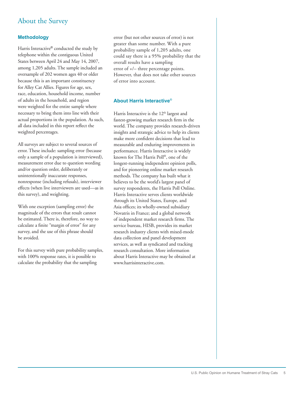### About the Survey

#### **Methodology**

Harris Interactive® conducted the study by telephone within the contiguous United States between April 24 and May 14, 2007, among 1,205 adults. The sample included an oversample of 202 women ages 40 or older because this is an important constituency for Alley Cat Allies. Figures for age, sex, race, education, household income, number of adults in the household, and region were weighted for the entire sample where necessary to bring them into line with their actual proportions in the population. As such, all data included in this report reflect the weighted percentages.

All surveys are subject to several sources of error. These include: sampling error (because only a sample of a population is interviewed), measurement error due to question wording and/or question order, deliberately or unintentionally inaccurate responses, nonresponse (including refusals), interviewer effects (when live interviewers are used—as in this survey), and weighting.

With one exception (sampling error) the magnitude of the errors that result cannot be estimated. There is, therefore, no way to calculate a finite "margin of error" for any survey, and the use of this phrase should be avoided.

For this survey with pure probability samples, with 100% response rates, it is possible to calculate the probability that the sampling

error (but not other sources of error) is not greater than some number. With a pure probability sample of 1,205 adults, one could say there is a 95% probability that the overall results have a sampling error of +/– three percentage points. However, that does not take other sources of error into account.

#### **About Harris Interactive**®

Harris Interactive is the  $12<sup>th</sup>$  largest and fastest-growing market research firm in the world. The company provides research-driven insights and strategic advice to help its clients make more confident decisions that lead to measurable and enduring improvements in performance. Harris Interactive is widely known for The Harris Poll®, one of the longest-running independent opinion polls, and for pioneering online market research methods. The company has built what it believes to be the world's largest panel of survey respondents, the Harris Poll Online. Harris Interactive serves clients worldwide through its United States, Europe, and Asia offices; its wholly-owned subsidiary Novatris in France; and a global network of independent market research firms. The service bureau, HISB, provides its market research industry clients with mixed-mode data collection and panel development services, as well as syndicated and tracking research consultation. More information about Harris Interactive may be obtained at www.harrisinteractive.com.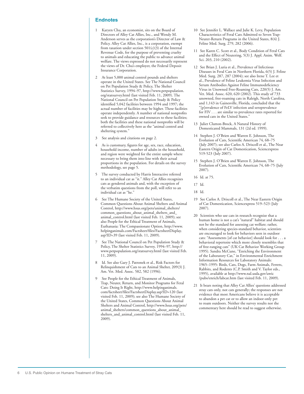#### **Endnotes**

- 1 Karyen Chu, an economist, sits on the Board of Directors of Alley Cat Allies, Inc., and Wendy M. Anderson serves as the corporation's Director of Law & Policy. Alley Cat Allies, Inc., is a corporation, exempt from taxation under section  $501(c)(3)$  of the Internal Revenue Code, for the purpose of preventing cruelty to animals and educating the public to advance animal welfare. The views expressed do not necessarily represent the views of Dr. Chu's employer, the Federal Deposit Insurance Corporation.
- At least 5,000 animal control pounds and shelters operate in the United States. See The National Council on Pet Population Study & Policy, The Shelter Statistics Survey, 1994–97, http://www.petpopulation. org/statsurvey.html (last visited Feb. 11, 2009). The National Council on Pet Population Study & Policy identified 5,042 facilities between 1994 and 1997; the actual number of facilities may be higher. These facilities operate independently. A number of national nonprofits seek to provide guidance and resources to these facilities; both the facilities and these national nonprofits will be referred to collectively here as the "animal control and sheltering system."
- 3 See analysis and citations on page 2.
- 4 As is customary, figures for age, sex, race, education, household income, number of adults in the household, and region were weighted for the entire sample where necessary to bring them into line with their actual proportions in the population. For details on the survey methodology, see page 5.
- 5 The survey conducted by Harris Interactive referred to an individual cat as "it." Alley Cat Allies recognizes cats as gendered animals and, with the exception of the verbatim questions from the poll, will refer to an individual cat as "he."
- 6 See The Humane Society of the United States, Common Questions About Animal Shelters and Animal Control, http://www.hsus.org/pets/animal\_shelters/ common\_questions\_about\_animal\_shelters\_and\_ animal\_control.html (last visited Feb. 11, 2009); see also People for the Ethical Treatment of Animals, Euthanasia: The Compassionate Option, http://www. helpinganimals.com/Factsheet/files/FactsheetDisplay. asp?ID=39 (last visited Feb. 11, 2009).
- 7 See The National Council on Pet Population Study & Policy, The Shelter Statistics Survey, 1994–97, http:// www.petpopulation.org/statsurvey.html (last visited Feb. 11, 2009).
- 8 Id. See also Gary J. Patronek et al., Risk Factors for Relinquishment of Cats to an Animal Shelter, 209(3) J. Am. Vet. Med. Assoc. 582, 582 (1996).
- 9 See People for the Ethical Treatment of Animals, Trap, Neuter, Return, and Monitor Programs for Feral Cats: Doing It Right, http://www.helpinganimals. com/factsheet/files/FactsheetDisplay.asp?ID=120 (last visited Feb. 11, 2009); see also The Humane Society of the United States, Common Questions About Animal Shelters and Animal Control, http://www.hsus.org/pets/ animal\_shelters/common\_questions\_about\_animal\_ shelters\_and\_animal\_control.html (last visited Feb. 11, 2009).
- 10 See Jennifer L. Wallace and Julie K. Levy, Population Characteristics of Feral Cats Admitted to Seven Trap-Neuter-Return Programs in the United States, 8(4) J. Feline Med. Surg. 279, 282 (2006).
- 11 See Karen C. Scott et al., Body Condition of Feral Cats and the Effect of Neutering, 5(3) J. Appl. Anim. Welf. Sci. 203, 210 (2002).
- 12 See Brian J. Luria et al., Prevalence of Infectious Diseases in Feral Cats in Northern Florida, 6(5) J. Feline Med. Surg. 287, 287 (2004); see also Irene T. Lee et al., Prevalence of Feline Leukemia Virus Infection and Serum Antibodies Against Feline Immunodeficiency Virus in Unowned Free-Roaming Cats, 220(5) J. Am. Vet. Med. Assoc. 620, 620 (2002). This study of 733 unowned, free-roaming cats in Raleigh, North Carolina, and 1,143 in Gainesville, Florida, concluded that the "[p]revalence of FeLV infection and seroprevalence for FIV . . . are similar to prevalence rates reported for owned cats in the United States."
- 13 Juliet Clutton-Brock, A Natural History of Domesticated Mammals, 131 (2d ed. 1999).
- 14 Stephen J. O'Brien and Warren E. Johnson, The Evolution of Cats, Scientific American 74, 68–75 (July 2007); see also Carlos A. Driscoll et al., The Near Eastern Origin of Cat Domestication, Sciencexpress 519-523 (July 2007).
- 15 Stephen J. O'Brien and Warren E. Johnson, The Evolution of Cats, Scientific American 74, 68–75 (July 2007).
- 16 Id. at 75.

17 Id.

- 18 Id.
- 19 See Carlos A. Driscoll et al., The Near Eastern Origin of Cat Domestication, Sciencexpress 519–523 (July 2007).
- 20 Scientists who use cats in research recognize that a human home is not a cat's "natural" habitat and should not be the standard for assessing cat welfare; rather, when considering species-standard behavior, scientists are encouraged to look for behaviors seen in outdoor cats: "Assessments [of cat behavior] should look for . . . a behavioral repertoire which more closely resembles that of free-ranging cats" (UK Cat Behavior Working Group 1995). Sandra McCune, "Enriching the Environment of the Laboratory Cat," in Environmental Enrichment Information Resources for Laboratory Animals: 1965–1995: Birds, Cats, Dogs, Farm Animals, Ferrets, Rabbits, and Rodents (C.P. Smith and V. Taylor eds., 1995), available at http://www.nal.usda.gov/awic /pubs/enrich/labcat.htm (last visited Feb. 11, 2009).
- 21 It bears noting that Alley Cat Allies' questions addressed stray cats only, not cats generally; the responses are not evidence that most Americans believe it is acceptable to abandon a pet cat or to allow an indoor-only pet to roam outdoors. Neither the survey results nor the commentary here should be read to suggest otherwise.